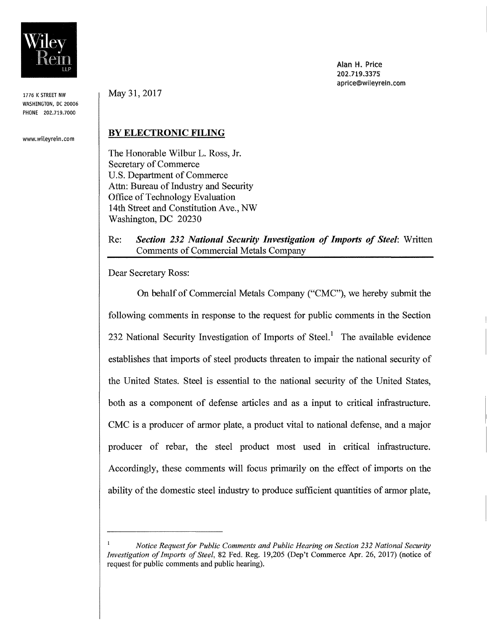

1776 K STREET NW WASHINGTON, DC 20006 PHONE 202.719.7000

www.wileyrein.com

May 31, 2017

## BY ELECTRONIC FILING

The Honorable Wilbur L. Ross, Jr. Secretary of Commerce U.S. Department of Commerce Attn: Bureau of Industry and Security Office of Technology Evaluation 14th Street and Constitution Ave., NW Washington, DC 20230

#### Re: *Section* 232 *National Security Investigation of Imports of Steel:* Written Comments of Commercial Metals Company

Dear Secretary Ross:

On behalf of Commercial Metals Company ("CMC"), we hereby submit the following comments in response to the request for public comments in the Section 232 National Security Investigation of Imports of Steel.<sup>1</sup> The available evidence establishes that imports of steel products threaten to impair the national security of the United States. Steel is essential to the national security of the United States, both as a component of defense articles and as a input to critical infrastructure. CMC is a producer of armor plate, a product vital to national defense, and a major producer of rebar, the steel product most used in critical infrastructure. Accordingly, these comments will focus primarily on the effect of imports on the ability of the domestic steel industry to produce sufficient quantities of armor plate,

Alan H, Price 202.719.3375 aprice@wileyrein.com

*Notice Request for Public Comments and Public Hearing on Section 232 National Security Investigation of Imports of Steel,* 82 Fed. Reg. 19,205 (Dep't Commerce Apr. 26,2017) (notice of request for public comments and public hearing).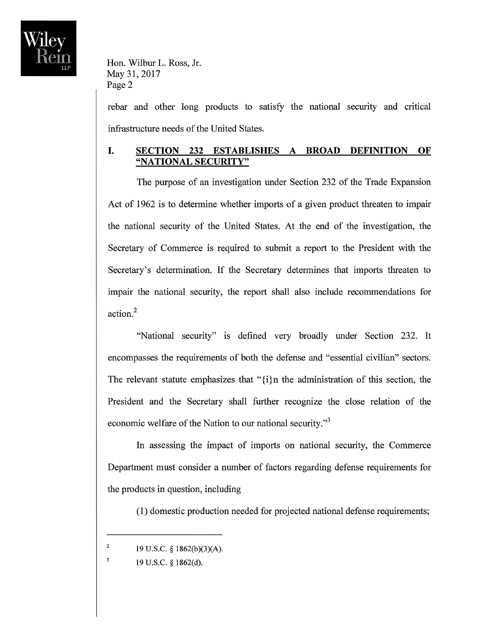

rebar and other long products to satisfy the national security and critical infrastructure needs of the United States.

## **I. SECTION 232 ESTABLISHES A BROAD DEFINITION OF "NATIONAL SECURITY"**

The purpose of an investigation under Section 232 of the Trade Expansion Act of 1962 is to determine whether imports of a given product threaten to impair the national security of the United States. At the end of the investigation, the Secretary of Commerce is required to submit a report to the President with the Secretary's determination. If the Secretary determines that imports threaten to impair the national security, the report shall also include recommendations for action?

"National security" is defined very broadly under Section 232. It encompasses the requirements of both the defense and "essential civilian" sectors. The relevant statute emphasizes that " $\{i\}$ n the administration of this section, the President and the Secretary shall further recognize the close relation of the economic welfare of the Nation to our national security."<sup>3</sup>

In assessing the impact of imports on national security, the Commerce Department must consider a number of factors regarding defense requirements for the products in question, including

(1) domestic production needed for projected national defense requirements;

<sup>&</sup>lt;sup>2</sup> 19 U.S.C. § 1862(b)(3)(A).

 $\overline{\mathbf{3}}$ 19 U.S.C. § 1862(d).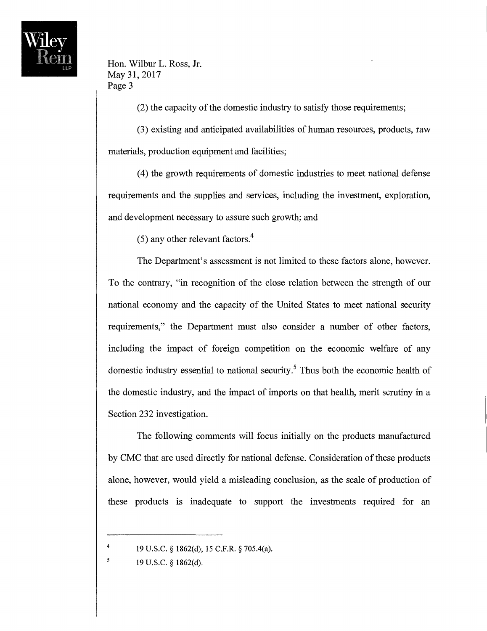

(2) the capacity of the domestic industry to satisfy those requirements;

(3) existing and anticipated availabilities of human resources, products, raw materials, production equipment and facilities;

(4) the growth requirements of domestic industries to meet national defense requirements and the supplies and services, including the investment, exploration, and development necessary to assure such growth; and

(5) any other relevant factors.<sup>4</sup>

The Department's assessment is not limited to these factors alone, however. To the contrary, "in recognition of the close relation between the strength of our national economy and the capacity of the United States to meet national security requirements," the Department must also consider a number of other factors, including the impact of foreign competition on the economic welfare of any domestic industry essential to national security.<sup>5</sup> Thus both the economic health of the domestic industry, and the impact of imports on that health, merit scrutiny in a Section 232 investigation.

The following comments will focus initially on the products manufactured by CMC that are used directly for national defense. Consideration of these products alone, however, would yield a misleading conclusion, as the scale of production of these products is inadequate to support the investments required for an

<sup>&</sup>lt;sup>4</sup> 19 U.S.C. § 1862(d); 15 C.F.R. § 705.4(a).

 $19 \text{ U.S.C.} \$   $1862\text{ (d)}$ .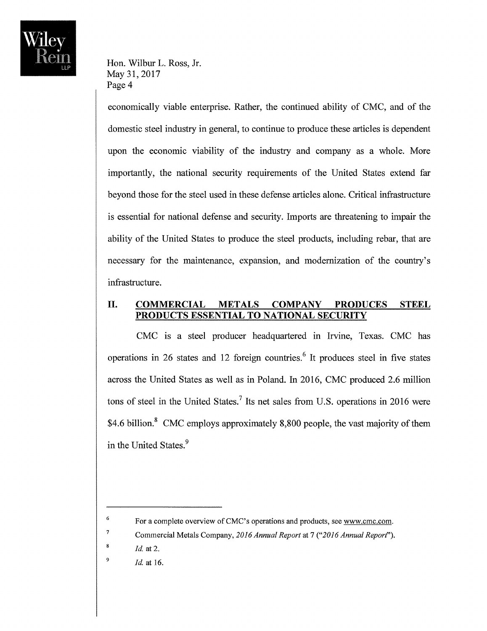

economically viable enterprise. Rather, the continued ability of CMC, and of the domestic steel industry in general, to continue to produce these articles is dependent upon the economic viability of the industry and company as a whole. More importantly, the national security requirements of the United States extend far beyond those for the steel used in these defense articles alone. Critical infrastructure is essential for national defense and security. Imports are threatening to impair the ability of the United States to produce the steel products, including rebar, that are necessary for the maintenance, expansion, and modernization of the country's infrastructure.

## **II. COMMERCIAL METALS COMPANY PRODUCES STEEL PRODUCTS ESSENTIAL TO NATIONAL SECURITY**

CMC is a steel producer headquartered in Irvine, Texas. CMC has operations in 26 states and 12 foreign countries.' It produces steel in five states across the United States as well as in Poland. In 2016, CMC produced 2.6 million tons of steel in the United States.? Its net sales from U.S. operations in 2016 were \$4.6 billion.<sup>8</sup> CMC employs approximately 8,800 people, the vast majority of them in the United States.<sup>9</sup>

7

*Id.* at 16. 9

<sup>&</sup>lt;sup>6</sup> For a complete overview of CMC's operations and products, see www.cmc.com.

Commercial Metals Company, *2016 Annual Report* at 7 *("2016 Annual Report").* 

*<sup>!</sup>d.* at 2. 8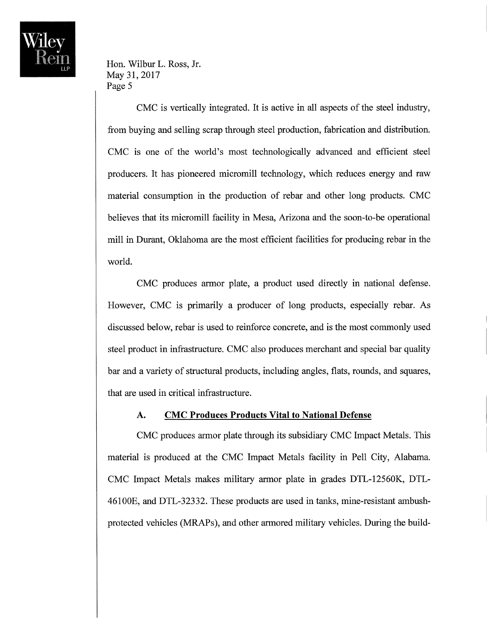

CMC is vertically integrated. It is active in all aspects of the steel industry, from buying and selling scrap through steel production, fabrication and distribution. CMC is one of the world's most technologically advanced and efficient steel producers. It has pioneered micromill technology, which reduces energy and raw material consumption in the production of rebar and other long products. CMC believes that its micromill facility in Mesa, Arizona and the soon-to-be operational mill in Durant, Oklahoma are the most efficient facilities for producing rebar in the world.

CMC produces armor plate, a product used directly in national defense. However, CMC is primarily a producer of long products, especially rebar. As discussed below, rebar is used to reinforce concrete, and is the most commonly used steel product in infrastructure. CMC also produces merchant and special bar quality bar and a variety of structural products, including angles, flats, rounds, and squares, that are used in critical infrastructure.

#### **A. CMC Produces Products Vital to National Defense**

CMC produces armor plate through its subsidiary CMC Impact Metals. This material is produced at the CMC Impact Metals facility in Pell City, Alabama. CMC Impact Metals makes military armor plate in grades DTL-12560K, DTL-46100E, and DTL-32332. These products are used in tanks, mine-resistant ambushprotected vehicles (MRAPs), and other armored military vehicles. During the build-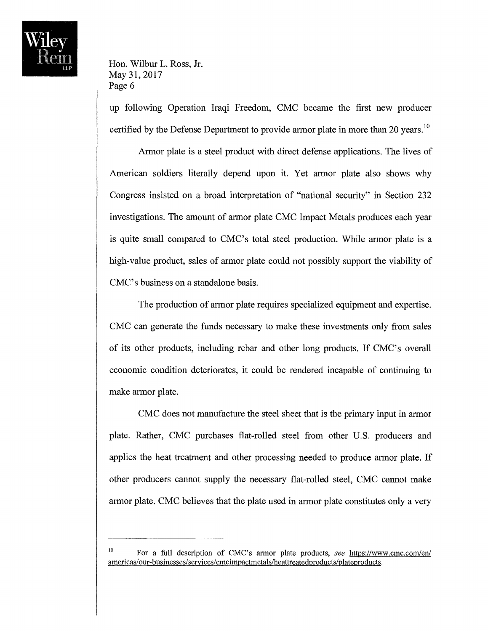up following Operation Iraqi Freedom, CMC became the first new producer certified by the Defense Department to provide armor plate in more than 20 years.<sup>10</sup>

Armor plate is a steel product with direct defense applications. The lives of American soldiers literally depend upon it. Yet armor plate also shows why Congress insisted on a broad interpretation of "national security" in Section 232 investigations. The amount of armor plate CMC Impact Metals produces each year is quite small compared to CMC's total steel production. While armor plate is a high-value product, sales of armor plate could not possibly support the viability of CMC's business on a standalone basis.

The production of armor plate requires specialized equipment and expertise. CMC can generate the funds necessary to make these investments only from sales of its other products, including rebar and other long products. If CMC's overall economic condition deteriorates, it could be rendered incapable of continuing to make armor plate.

CMC does not manufacture the steel sheet that is the primary input in armor plate. Rather, CMC purchases flat-rolled steel from other U.S. producers and applies the heat treatment and other processing needed to produce armor plate. If other producers cannot supply the necessary flat-rolled steel, CMC cannot make armor plate. CMC believes that the plate used in armor plate constitutes only a very

<sup>&</sup>lt;sup>10</sup> For a full description of CMC's armor plate products, *see* https://www.cmc.com/en/ americas/our-businesses/services/cmcimpactmetals/heattreatedproducts/plateproducts.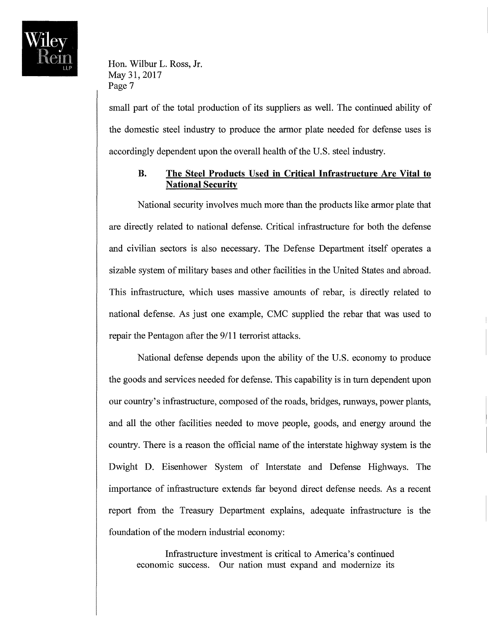

small part of the total production of its suppliers as well. The continued ability of the domestic steel industry to produce the armor plate needed for defense uses is accordingly dependent upon the overall health of the U.S. steel industry.

## **B. The Steel Products Used in Critical Infrastructure Are Vital to National Security**

National security involves much more than the products like armor plate that are directly related to national defense. Critical infrastructure for both the defense and civilian sectors is also necessary. The Defense Department itself operates a sizable system of military bases and other facilities in the United States and abroad. This infrastructure, which uses massive amounts of rebar, is directly related to national defense. As just one example, CMC supplied the rebar that was used to repair the Pentagon after the 9/11 terrorist attacks.

National defense depends upon the ability of the U.S. economy to produce the goods and services needed for defense. This capability is in tum dependent upon our country's infrastructure, composed of the roads, bridges, runways, power plants, and all the other facilities needed to move people, goods, and energy around the country. There is a reason the official name of the interstate highway system is the Dwight D. Eisenhower System of Interstate and Defense Highways. The importance of infrastructure extends far beyond direct defense needs. As a recent report from the Treasury Department explains, adequate infrastructure is the foundation of the modem industrial economy:

Infrastructure investment is critical to America's continued economic success. Our nation must expand and modernize its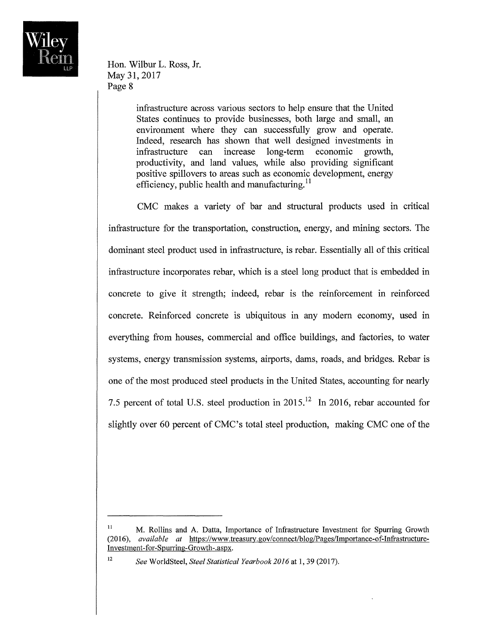

> infrastructure across various sectors to help ensure that the United States continues to provide businesses, both large and small, an environment where they can successfully grow and operate. Indeed, research has shown that well designed investments in infrastructure can increase long-term economic growth, productivity, and land values, while also providing significant positive spillovers to areas such as economic development, energy efficiency, public health and manufacturing. $^{11}$

CMC makes a variety of bar and structural products used in critical infrastructure for the transportation, construction, energy, and mining sectors. The dominant steel product used in infrastructure, is rebar. Essentially all of this critical infrastructure incorporates rebar, which is a steel long product that is embedded in concrete to give it strength; indeed, rebar is the reinforcement in reinforced concrete. Reinforced concrete is ubiquitous in any modern economy, used in everything from houses, commercial and office buildings, and factories, to water systems, energy transmission systems, airports, dams, roads, and bridges. Rebar is one of the most produced steel products in the United States, accounting for nearly 7.5 percent of total U.S. steel production in  $2015$ <sup>12</sup> In 2016, rebar accounted for slightly over 60 percent of CMC's total steel production, making CMC one of the

<sup>&</sup>lt;sup>11</sup> M. Rollins and A. Datta, Importance of Infrastructure Investment for Spurring Growth *(2016), available at* https:/ *Iwww* .treasury.gov/connect/blog/Pages/Importance-of-Infrastructure-In vestment -for-Spurring -Growth-. aspx.

<sup>12</sup> *See* WorldSteel, *Steel Statistical Yearbook 2016* at 1, 39 (2017).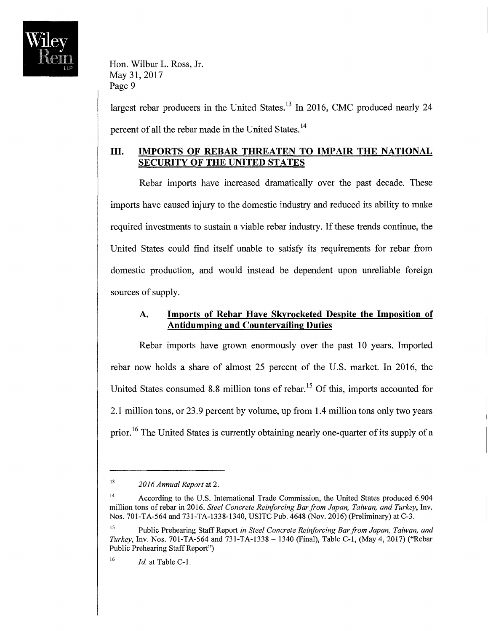

largest rebar producers in the United States.<sup>13</sup> In 2016, CMC produced nearly 24 percent of all the rebar made in the United States.<sup>14</sup>

## **III. IMPORTS OF REBAR THREATEN TO IMPAIR THE NATIONAL SECURITY OF THE UNITED STATES**

Rebar imports have increased dramatically over the past decade. These imports have caused injury to the domestic industry and reduced its ability to make required investments to sustain a viable rebar industry. If these trends continue, the United States could find itself unable to satisfy its requirements for rebar from domestic production, and would instead be dependent upon unreliable foreign sources of supply.

## **A. Imports of Rebar Have Skyrocketed Despite the Imposition of Antidumping and Countervailing Duties**

Rebar imports have grown enormously over the past 10 years. Imported rebar now holds a share of almost 25 percent of the U.S. market. In 2016, the United States consumed 8.8 million tons of rebar.<sup>15</sup> Of this, imports accounted for 2.1 million tons, or 23.9 percent by volume, up from 1.4 million tons only two years prior.<sup>16</sup> The United States is currently obtaining nearly one-quarter of its supply of a

<sup>13</sup>*20 J* 6 *Annual Report* at 2.

<sup>&</sup>lt;sup>14</sup> According to the U.S. International Trade Commission, the United States produced 6.904 million tons ofrebar in 2016. *Steel Concrete Reinforcing Bar from Japan, Taiwan, and Turkey,* Inv. Nos. 701-TA-564 and 731-TA-1338-1340, USITC Pub. 4648 (Nov. 2016) (Preliminary) at C-3.

<sup>&</sup>lt;sup>15</sup> Public Prehearing Staff Report *in Steel Concrete Reinforcing Bar from Japan, Taiwan, and Turkey, Inv. Nos. 701-TA-564 and 731-TA-1338 - 1340 (Final), Table C-1, (May 4, 2017) ("Rebar* Public Prehearing Staff Report")

<sup>&</sup>lt;sup>16</sup>  $Id$  at Table C-1.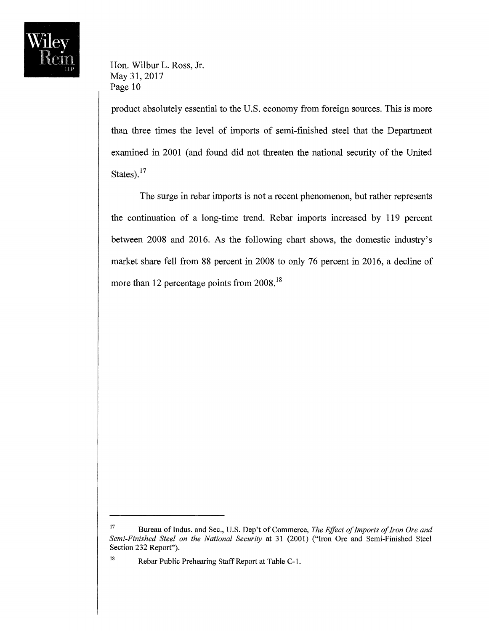

product absolutely essential to the U.S. economy from foreign sources. This is more than three times the level of imports of semi-finished steel that the Department examined in 2001 (and found did not threaten the national security of the United States).<sup>17</sup>

The surge in rebar imports is not a recent phenomenon, but rather represents the continuation of a long-time trend. Rebar imports increased by 119 percent between 2008 and 2016. As the following chart shows, the domestic industry's market share fell from 88 percent in 2008 to only 76 percent in 2016, a decline of more than 12 percentage points from 2008.<sup>18</sup>

<sup>&</sup>lt;sup>17</sup> Bureau of Indus. and Sec., U.S. Dep't of Commerce, *The Effect of Imports of Iron Ore and Semi-Finished Steel on the National Security* at 31 (2001) ("Iron Ore and Semi-Finished Steel Section 232 Report").

<sup>18</sup> Rebar Public Prehearing Staff Report at Table C-l.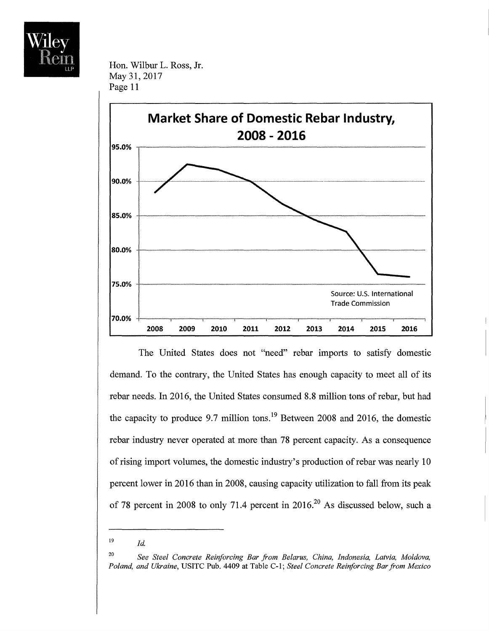



The United States does not "need" rebar imports to satisfy domestic demand. To the contrary, the United States has enough capacity to meet all of its rebar needs. In 2016, the United States consumed 8.8 million tons of rebar, but had the capacity to produce 9.7 million tons.<sup>19</sup> Between 2008 and 2016, the domestic rebar industry never operated at more than 78 percent capacity. As a consequence of rising import volumes, the domestic industry's production ofrebar was nearly 10 percent lower in 2016 than in 2008, causing capacity utilization to fall from its peak of 78 percent in 2008 to only 71.4 percent in  $2016$ <sup>20</sup> As discussed below, such a

 $19$  *Id.* 

<sup>20</sup>*See Steel Concrete Reinforcing Bar from Belarus, China, Indonesia, Latvia, Moldova, Poland, and Ukraine,* USITC Pub. 4409 at Table C-l; *Steel Concrete Reinforcing Bar from Mexico*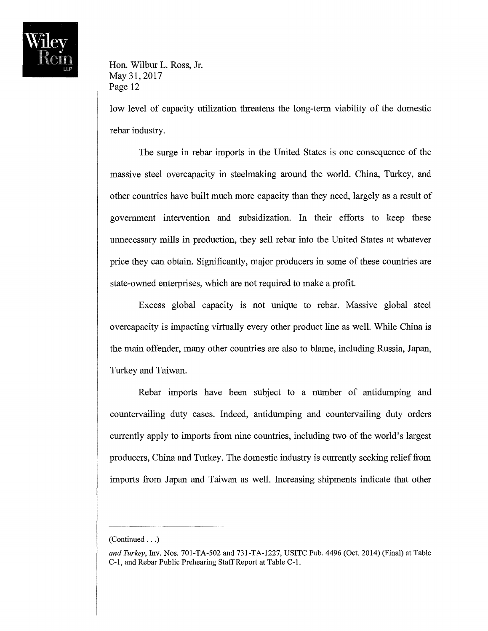

low level of capacity utilization threatens the long-term viability of the domestic rebar industry.

The surge in rebar imports in the United States is one consequence of the massive steel overcapacity in steelmaking around the world. China, Turkey, and other countries have built much more capacity than they need, largely as a result of government intervention and subsidization. In their efforts to keep these unnecessary mills in production, they sell rebar into the United States at whatever price they can obtain. Significantly, major producers in some of these countries are state-owned enterprises, which are not required to make a profit.

Excess global capacity is not unique to rebar. Massive global steel overcapacity is impacting virtually every other product line as well. While China is the main offender, many other countries are also to blame, including Russia, Japan, Turkey and Taiwan.

Rebar imports have been subject to a number of antidumping and countervailing duty cases. Indeed, antidumping and countervailing duty orders currently apply to imports from nine countries, including two of the world's largest producers, China and Turkey. The domestic industry is currently seeking relief from imports from Japan and Taiwan as well. Increasing shipments indicate that other

<sup>(</sup>Continued ... )

*and Turkey,* Inv. Nos. 701-TA-502 and 731-TA-1227, USITC Pub. 4496 (Oct. 2014) (Final) at Table C-l, and Rebar Public Prehearing Staff Report at Table C-l.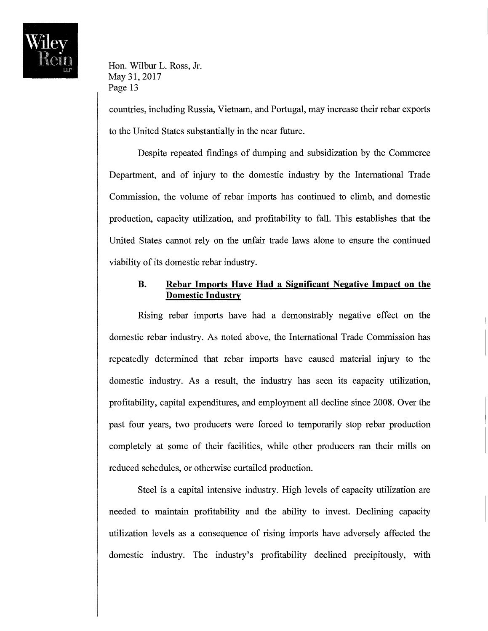

countries, including Russia, Vietnam, and Portugal, may increase their rebar exports to the United States substantially in the near future.

Despite repeated findings of dumping and subsidization by the Commerce Department, and of injury to the domestic industry by the International Trade Commission, the volume of rebar imports has continued to climb, and domestic production, capacity utilization, and profitability to fall. This establishes that the United States cannot rely on the unfair trade laws alone to ensure the continued viability of its domestic rebar industry.

#### **B. Rebar Imports Have Had a Significant Negative Impact on the Domestic Industry**

Rising rebar imports have had a demonstrably negative effect on the domestic rebar industry. As noted above, the International Trade Commission has repeatedly determined that rebar imports have caused material injury to the domestic industry. As a result, the industry has seen its capacity utilization, profitability, capital expenditures, and employment all decline since 2008. Over the past four years, two producers were forced to temporarily stop rebar production completely at some of their facilities, while other producers ran their mills on reduced schedules, or otherwise curtailed production.

Steel is a capital intensive industry. High levels of capacity utilization are needed to maintain profitability and the ability to invest. Declining capacity utilization levels as a consequence of rising imports have adversely affected the domestic industry. The industry's profitability declined precipitously, with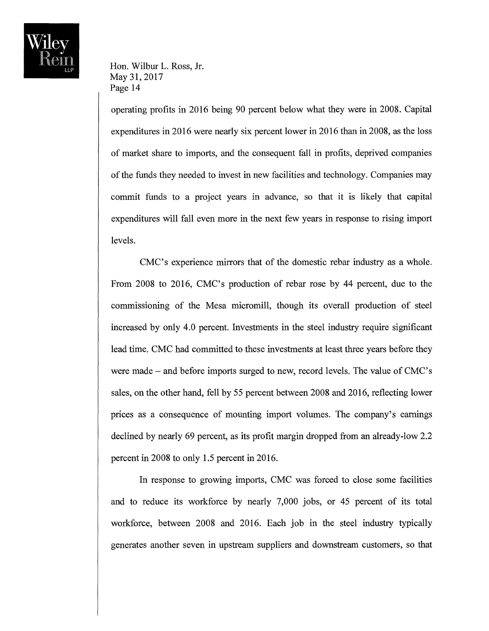

operating profits in 2016 being 90 percent below what they were in 2008. Capital expenditures in 2016 were nearly six percent lower in 2016 than in 2008, as the loss of market share to imports, and the consequent fall in profits, deprived companies of the funds they needed to invest in new facilities and technology. Companies may commit funds to a project years in advance, so that it is likely that capital expenditures will fall even more in the next few years in response to rising import levels.

CMC's experience mirrors that of the domestic rebar industry as a whole. From 2008 to 2016, CMC's production of rebar rose by 44 percent, due to the commissioning of the Mesa micromill, though its overall production of steel increased by only 4.0 percent. Investments in the steel industry require significant lead time. CMC had committed to these investments at least three years before they were made – and before imports surged to new, record levels. The value of CMC's sales, on the other hand, fell by 55 percent between 2008 and 2016, reflecting lower prices as a consequence of mounting import volumes. The company's earnings declined by nearly 69 percent, as its profit margin dropped from an already-low 2.2 percent in 2008 to only 1.5 percent in 2016.

In response to growing imports, CMC was forced to close some facilities and to reduce its workforce by nearly 7,000 jobs, or 45 percent of its total workforce, between 2008 and 2016. Each job in the steel industry typically generates another seven in upstream suppliers and downstream customers, so that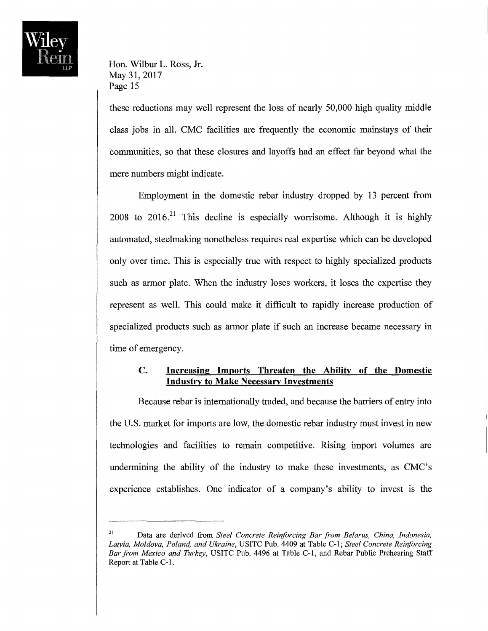

these reductions may well represent the loss of nearly 50,000 high quality middle class jobs in all. CMC facilities are frequently the economic mainstays of their communities, so that these closures and layoffs had an effect far beyond what the mere numbers might indicate.

Employment in the domestic rebar industry dropped by 13 percent from 2008 to  $2016<sup>21</sup>$  This decline is especially worrisome. Although it is highly automated, steelmaking nonetheless requires real expertise which can be developed only over time. This is especially true with respect to highly specialized products such as armor plate. When the industry loses workers, it loses the expertise they represent as well. This could make it difficult to rapidly increase production of specialized products such as armor plate if such an increase became necessary in time of emergency.

## **C. Increasing Imports Threaten the Ability of the Domestic Industry to Make Necessary Investments**

Because rebar is internationally traded, and because the barriers of entry into the U.S. market for imports are low, the domestic rebar industry must invest in new technologies and facilities to remain competitive. Rising import volumes are undermining the ability of the industry to make these investments, as CMC's experience establishes. One indicator of a company's ability to invest is the

<sup>&</sup>lt;sup>21</sup> Data are derived from *Steel Concrete Reinforcing Bar from Belarus, China, Indonesia, Latvia, Moldova, Poland, and Ukraine,* USITC Pub. 4409 at Table C-l; *Steel Concrete Reinforcing Bar from Mexico and Turkey,* USITC Pub. 4496 at Table C-l, and Rebar Public Prehearing Staff Report at Table C-l.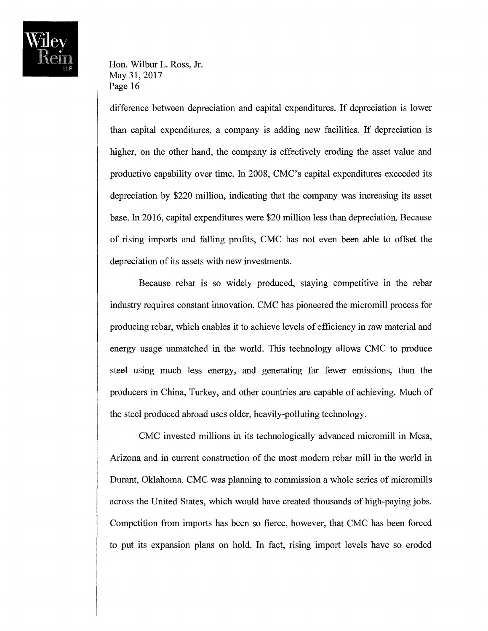

difference between depreciation and capital expenditures. If depreciation is lower than capital expenditures, a company is adding new facilities. If depreciation is higher, on the other hand, the company is effectively eroding the asset value and productive capability over time. In 2008, CMC's capital expenditures exceeded its depreciation by \$220 million, indicating that the company was increasing its asset base. In 2016, capital expenditures were \$20 million less than depreciation. Because of rising imports and falling profits, CMC has not even been able to offset the depreciation of its assets with new investments.

Because rebar is so widely produced, staying competitive in the rebar industry requires constant innovation. CMC has pioneered the micromill process for producing rebar, which enables it to achieve levels of efficiency in raw material and energy usage unmatched in the world. This technology allows CMC to produce steel using much less energy, and generating far fewer emissions, than the producers in China, Turkey, and other countries are capable of achieving. Much of the steel produced abroad uses older, heavily-polluting technology.

CMC invested millions in its technologically advanced micromill in Mesa, Arizona and in current construction of the most modem rebar mill in the world in Durant, Oklahoma. CMC was planning to commission a whole series of micromills across the United States, which would have created thousands of high-paying jobs. Competition from imports has been so fierce, however, that CMC has been forced to put its expansion plans on hold. In fact, rising import levels have so eroded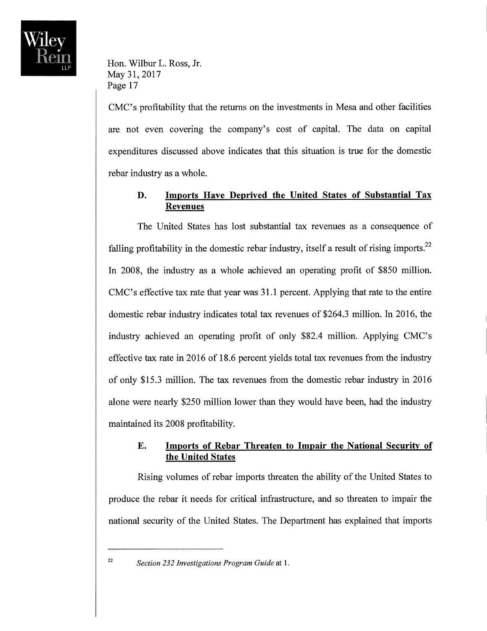

CMC's profitability that the returns on the investments in Mesa and other facilities are not even covering the company's cost of capital. The data on capital expenditures discussed above indicates that this situation is true for the domestic rebar industry as a whole.

# **D. Imports Have Deprived the United States of Substantial Tax Revenues**

The United States has lost substantial tax revenues as a consequence of falling profitability in the domestic rebar industry, itself a result of rising imports. $^{22}$ In 2008, the industry as a whole achieved an operating profit of \$850 million. CMC's effective tax rate that year was 31.1 percent. Applying that rate to the entire domestic rebar industry indicates total tax revenues of \$264.3 million. In 2016, the industry achieved an operating profit of only \$82.4 million. Applying CMC's effective tax rate in 2016 of 18.6 percent yields total tax revenues from the industry of only \$15.3 million. The tax revenues from the domestic rebar industry in 2016 alone were nearly \$250 million lower than they would have been, had the industry maintained its 2008 profitability.

## **E. Imports of Rebar Threaten to Impair the National Security of the United States**

Rising volumes of rebar imports threaten the ability of the United States to produce the rebar it needs for critical infrastructure, and so threaten to impair the national security of the United States. The Department has explained that imports

<sup>22</sup>*Section* 232 *investigations Program Guide* at 1.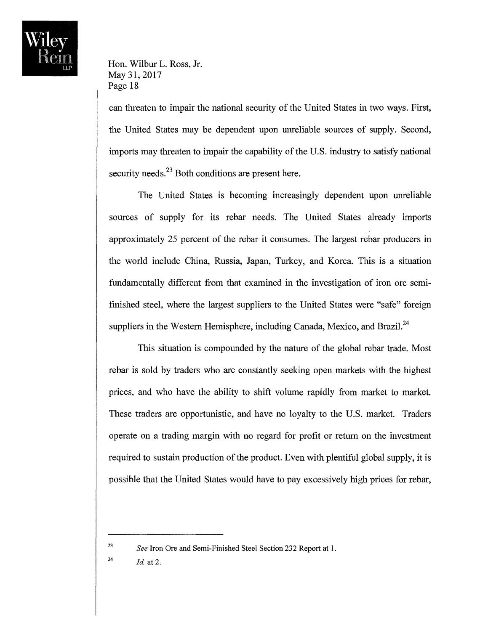

can threaten to impair the national security of the United States in two ways. First, the United States may be dependent upon unreliable sources of supply. Second, imports may threaten to impair the capability of the U.S. industry to satisfy national security needs.<sup>23</sup> Both conditions are present here.

The United States is becoming increasingly dependent upon unreliable sources of supply for its rebar needs. The United States already imports approximately 25 percent of the rebar it consumes. The largest rebar producers in the world include China, Russia, Japan, Turkey, and Korea. This is a situation fundamentally different from that examined in the investigation of iron ore semifinished steel, where the largest suppliers to the United States were "safe" foreign suppliers in the Western Hemisphere, including Canada, Mexico, and Brazil.<sup>24</sup>

This situation is compounded by the nature of the global rebar trade. Most rebar is sold by traders who are constantly seeking open markets with the highest prices, and who have the ability to shift volume rapidly from market to market. These traders are opportunistic, and have no loyalty to the U.S. market. Traders operate on a trading margin with no regard for profit or return on the investment required to sustain production of the product. Even with plentiful global supply, it is possible that the United States would have to pay excessively high prices for rebar,

<sup>24</sup> *Id.* at 2.

<sup>23</sup>*See* Iron Ore and Semi-Finished Steel Section 232 Report at 1.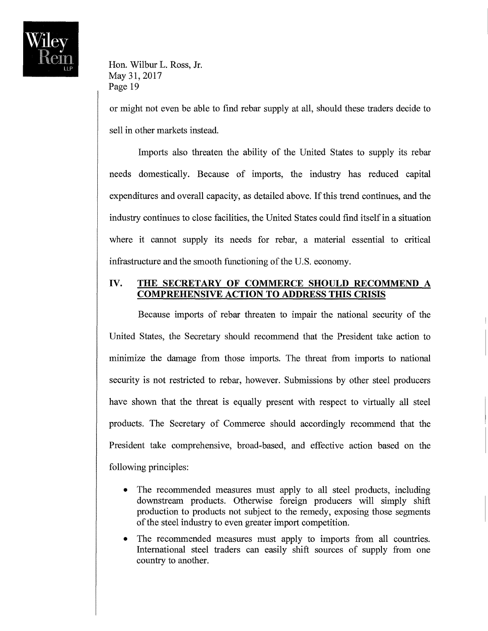

or might not even be able to find rebar supply at all, should these traders decide to sell in other markets instead.

Imports also threaten the ability of the United States to supply its rebar needs domestically. Because of imports, the industry has reduced capital expenditures and overall capacity, as detailed above. If this trend continues, and the industry continues to close facilities, the United States could find itself in a situation where it cannot supply its needs for rebar, a material essential to critical infrastructure and the smooth functioning of the U.S. economy.

## **IV. THE SECRETARY OF COMMERCE SHOULD RECOMMEND A COMPREHENSIVE ACTION TO ADDRESS THIS CRISIS**

Because imports of rebar threaten to impair the national security of the United States, the Secretary should recommend that the President take action to minimize the damage from those imports. The threat from imports to national security is not restricted to rebar, however. Submissions by other steel producers have shown that the threat is equally present with respect to virtually all steel products. The Secretary of Commerce should accordingly recommend that the President take comprehensive, broad-based, and effective action based on the following principles:

- The recommended measures must apply to all steel products, including downstream products. Otherwise foreign producers will simply shift production to products not subject to the remedy, exposing those segments of the steel industry to even greater import competition.
- The recommended measures must apply to imports from all countries. International steel traders can easily shift sources of supply from one country to another.